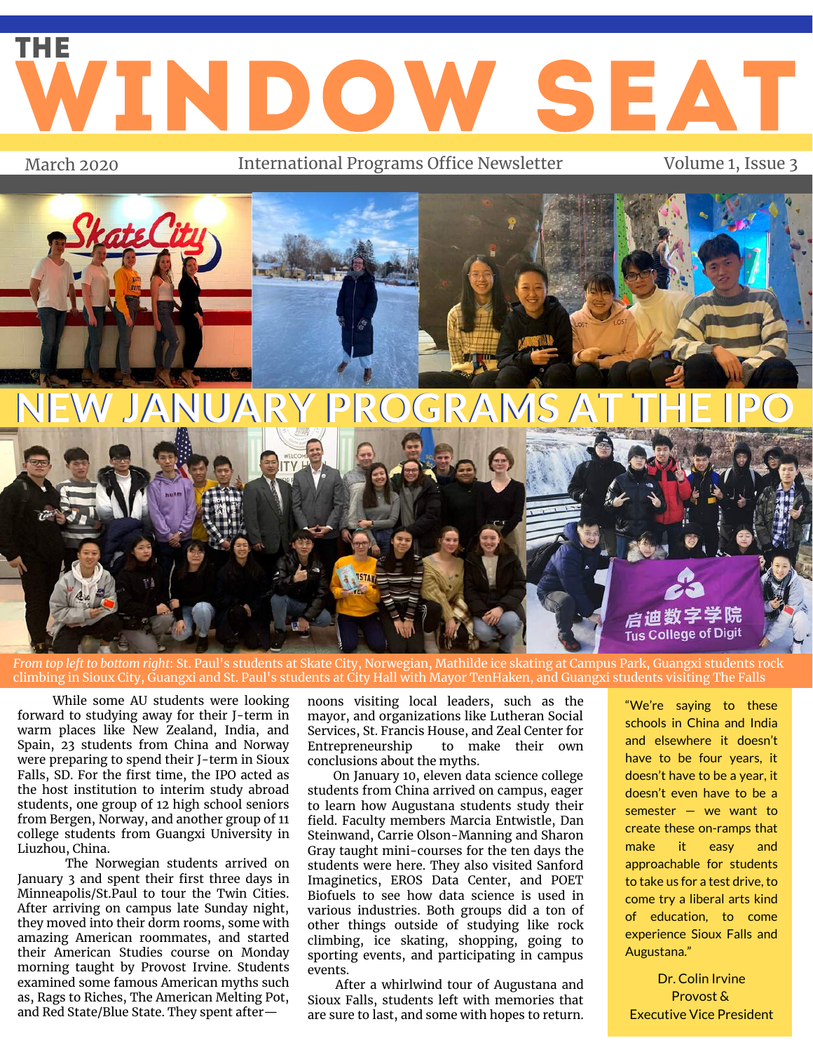## WINDOW SEAT THE

March 2020 **International Programs Office Newsletter** Volume 1, Issue 3



*From top left to bottom right*: St. Paul's students at Skate City, Norwegian, Mathilde ice skating at Campus Park, Guangxi students rock climbing in Sioux City, Guangxi and St. Paul's students at City Hall with Mayor TenHaken, and Guangxi students visiting The Falls

While some AU students were looking forward to studying away for their J-term in warm places like New Zealand, India, and Spain, 23 students from China and Norway were preparing to spend their J-term in Sioux Falls, SD. For the first time, the IPO acted as the host institution to interim study abroad students, one group of 12 high school seniors from Bergen, Norway, and another group of 11 college students from Guangxi University in Liuzhou, China.

The Norwegian students arrived on January 3 and spent their first three days in Minneapolis/St.Paul to tour the Twin Cities. After arriving on campus late Sunday night, they moved into their dorm rooms, some with amazing American roommates, and started their American Studies course on Monday morning taught by Provost Irvine. Students examined some famous American myths such as, Rags to Riches, The American Melting Pot, and Red State/Blue State. They spent after—

noons visiting local leaders, such as the mayor, and organizations like Lutheran Social Services, St. Francis House, and Zeal Center for to make their own conclusions about the myths.

On January 10, eleven data science college students from China arrived on campus, eager to learn how Augustana students study their field. Faculty members Marcia Entwistle, Dan Steinwand, Carrie Olson-Manning and Sharon Gray taught mini-courses for the ten days the students were here. They also visited Sanford Imaginetics, EROS Data Center, and POET Biofuels to see how data science is used in various industries. Both groups did a ton of other things outside of studying like rock climbing, ice skating, shopping, going to sporting events, and participating in campus events.

After a whirlwind tour of Augustana and Sioux Falls, students left with memories that are sure to last, and some with hopes to return.

"We're saying to these schools in China and India and elsewhere it doesn't have to be four years, it doesn't have to be a year, it doesn't even have to be a semester — we want to create these on-ramps that make it easy and approachable for students to take us for a test drive, to come try a liberal arts kind of education, to come experience Sioux Falls and Augustana."

Dr. Colin Irvine Provost & Executive Vice President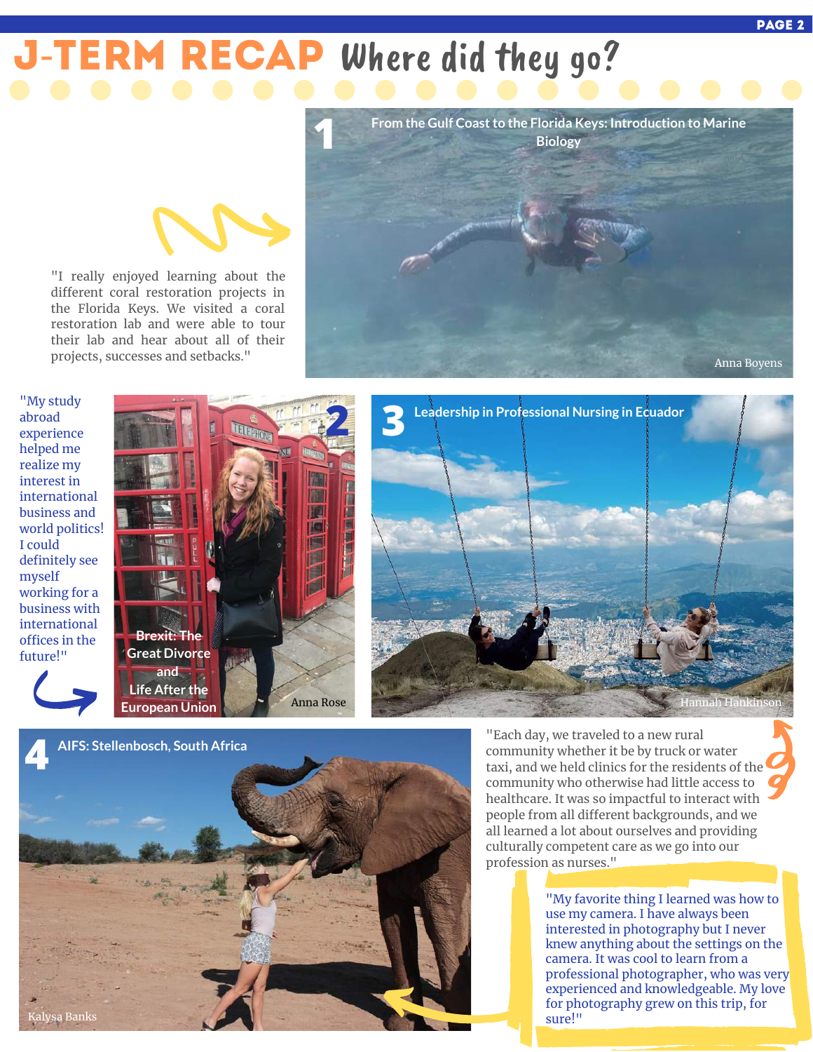# ERM RECAP Where did they go?



"My study abroad experience helped me realize my interest in international business and world politics! I could definitely see myself working for a business with international offices in the future!"



"I really enjoyed learning about the different coral restoration projects in the Florida Keys. We visited a coral restoration lab and were able to tour their lab and hear about all of their projects, successes and setbacks."





"Each day, we traveled to a new rural community whether it be by truck or water taxi, and we held clinics for the residents of the community who otherwise had little access to healthcare. It was so impactful to interact with people from all different backgrounds, and we all learned a lot about ourselves and providing culturally competent care as we go into our profession as nurses."

> "My favorite thing I learned was how to use my camera. I have always been interested in photography but I never knew anything about the settings on the camera. It was cool to learn from a professional photographer, who was very experienced and knowledgeable. My love for photography grew on this trip, for sure!"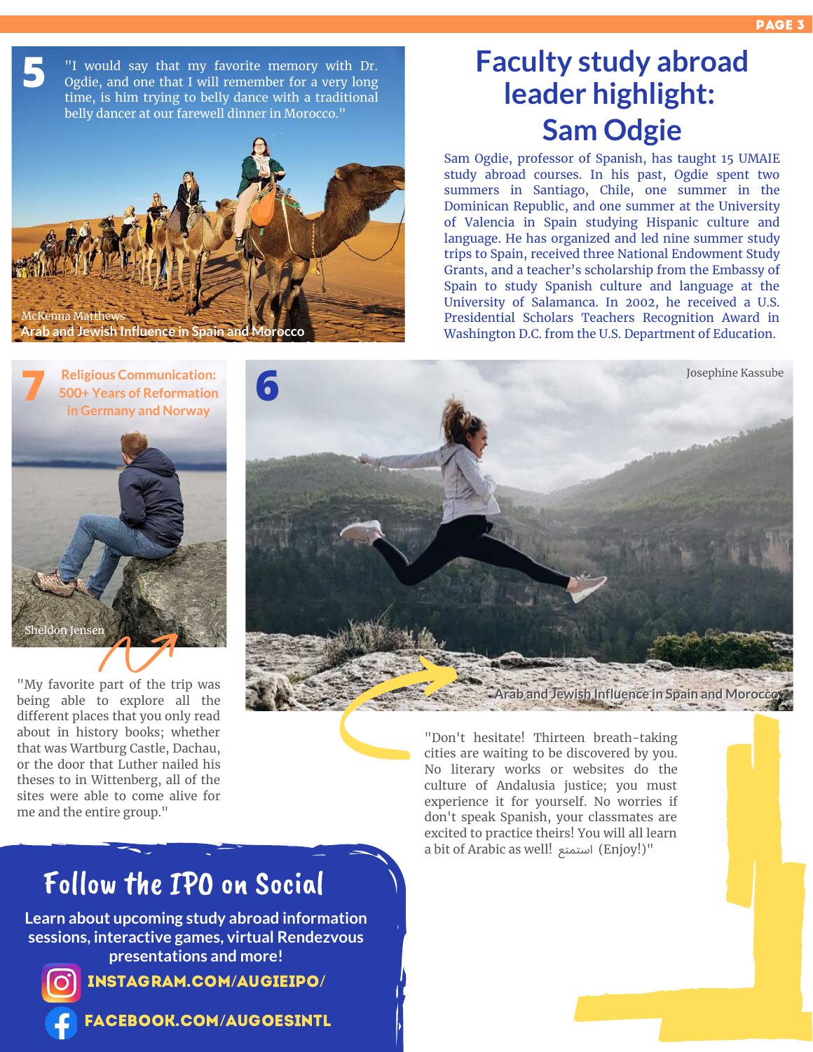**5** "I would say that my favorite memory with Dr. Ogdie, and one that I will remember for a very long time, is him trying to belly dance with a traditional belly dancer at our farewell dinner in Morocco."



### **Faculty study abroad leader highlight: Sam Odgie**

Sam Ogdie, professor of Spanish, has taught 15 UMAIE study abroad courses. In his past, Ogdie spent two summers in Santiago, Chile, one summer in the Dominican Republic, and one summer at the University of Valencia in Spain studying Hispanic culture and language. He has organized and led nine summer study trips to Spain, received three National Endowment Study Grants, and a teacher's scholarship from the Embassy of Spain to study Spanish culture and language at the University of Salamanca. In 2002, he received a U.S. Presidential Scholars Teachers Recognition Award in Washington D.C. from the U.S. Department of Education.



"My favorite part of the trip was being able to explore all the different places that you only read about in history books; whether that was Wartburg Castle, Dachau, or the door that Luther nailed his theses to in Wittenberg, all of the sites were able to come alive for me and the entire group."



"Don't hesitate! Thirteen breath-taking cities are waiting to be discovered by you. No literary works or websites do the culture of Andalusia justice; you must experience it for yourself. No worries if don't speak Spanish, your classmates are excited to practice theirs! You will all learn a bit of Arabic as well! استمتع) Enjoy!)"

### Follow the IPO on Social

**Learn about upcoming study abroad information sessions, interactive games, virtual Rendezvous presentations and more!**



[instagram.com](https://www.instagram.com/augieipo/)/augieipo/

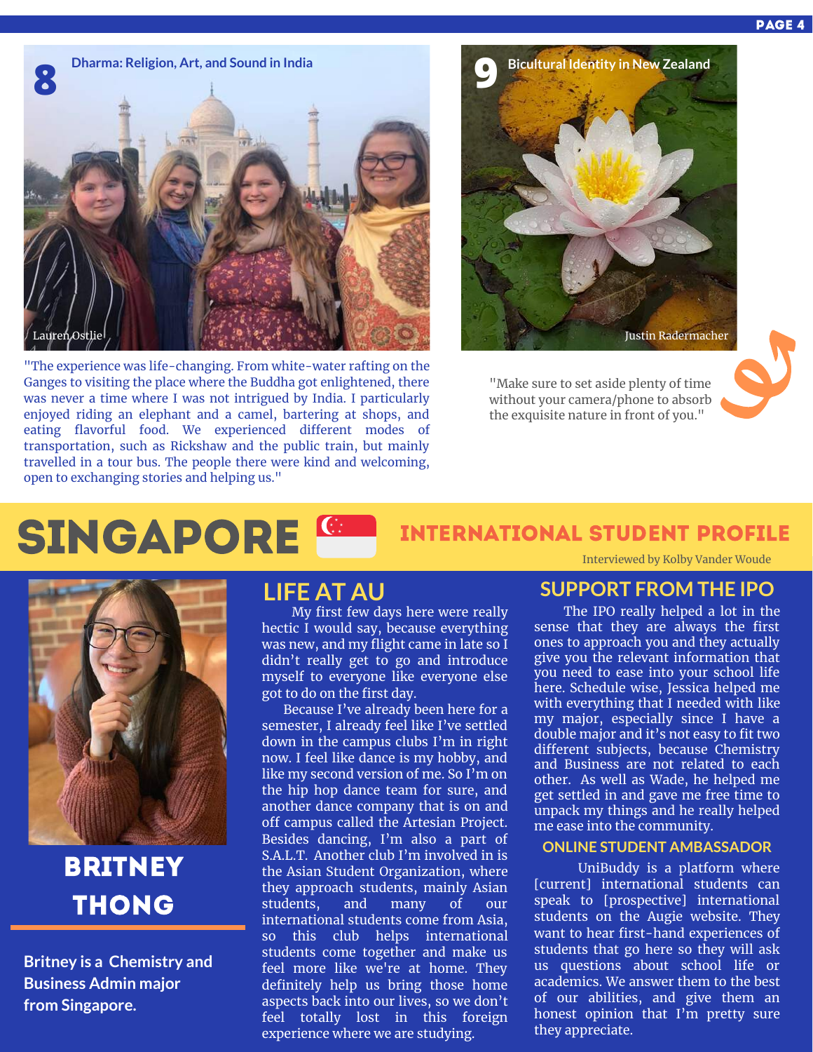

"The experience was life-changing. From white-water rafting on the Ganges to visiting the place where the Buddha got enlightened, there was never a time where I was not intrigued by India. I particularly enjoyed riding an elephant and a camel, bartering at shops, and eating flavorful food. We experienced different modes of transportation, such as Rickshaw and the public train, but mainly travelled in a tour bus. The people there were kind and welcoming, open to exchanging stories and helping us."



"Make sure to set aside plenty of time without your camera/phone to absorb the exquisite nature in front of you."

#### SINGAPORE<sup>C</sup> Interviewed by Kolby Vander Woude international Student Profile



### **BRITNEY** Thong

**Britney is a Chemistry and Business Admin major from Singapore.**

My first few days here were really hectic I would say, because everything was new, and my flight came in late so I didn't really get to go and introduce myself to everyone like everyone else got to do on the first day.

Because I've already been here for a semester, I already feel like I've settled down in the campus clubs I'm in right now. I feel like dance is my hobby, and like my second version of me. So I'm on the hip hop dance team for sure, and another dance company that is on and off campus called the Artesian Project. Besides dancing, I'm also a part of S.A.L.T. Another club I'm involved in is the Asian Student Organization, where they approach students, mainly Asian students, and many of our international students come from Asia, so this club helps international students come together and make us feel more like we're at home. They definitely help us bring those home aspects back into our lives, so we don't feel totally lost in this foreign experience where we are studying.

#### **LIFE AT AU SUPPORT FROM THE IPO**

The IPO really helped a lot in the sense that they are always the first ones to approach you and they actually give you the relevant information that you need to ease into your school life here. Schedule wise, Jessica helped me with everything that I needed with like my major, especially since I have a double major and it's not easy to fit two different subjects, because Chemistry and Business are not related to each other. As well as Wade, he helped me get settled in and gave me free time to unpack my things and he really helped me ease into the community.

#### **ONLINE STUDENT AMBASSADOR**

UniBuddy is a platform where [current] international students can speak to [prospective] international students on the Augie website. They want to hear first-hand experiences of students that go here so they will ask us questions about school life or academics. We answer them to the best of our abilities, and give them an honest opinion that I'm pretty sure they appreciate.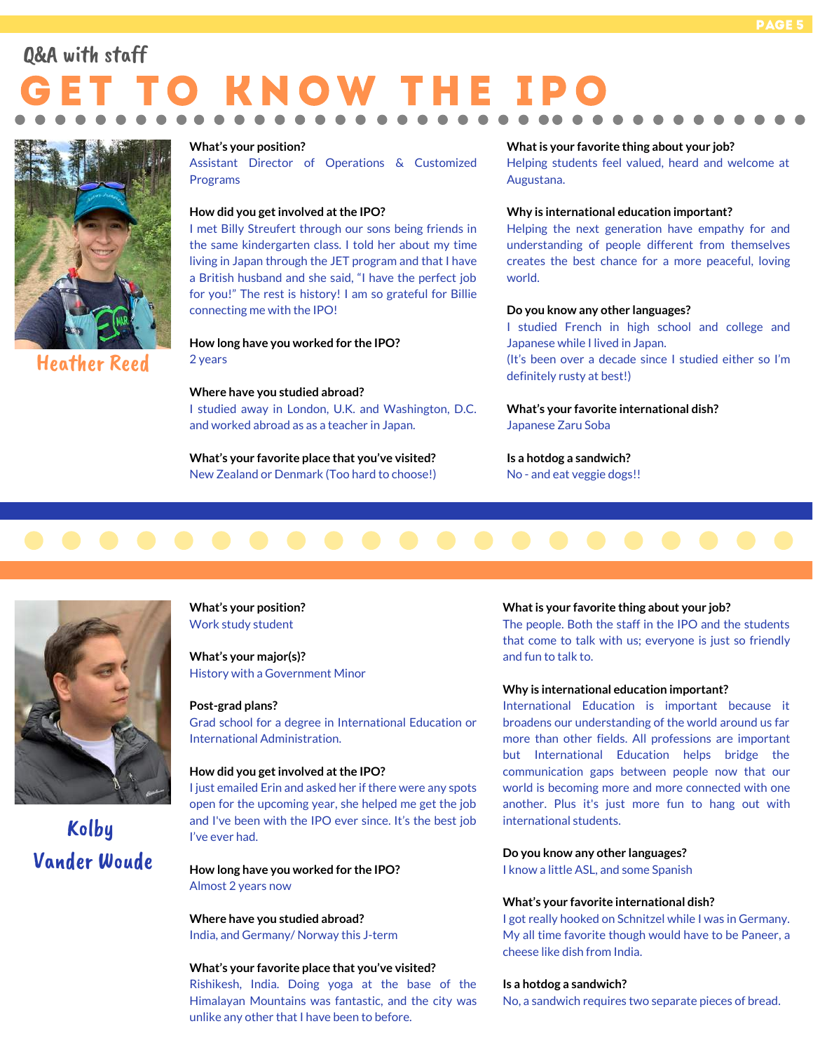### 'O KNOW THE IP Q&A with staff



#### Heather Reed

#### **What's your position?**

Assistant Director of Operations & Customized Programs

#### **How did you getinvolved atthe IPO?**

I met Billy Streufert through our sons being friends in the same kindergarten class. I told her about my time living in Japan through the JET program and that I have a British husband and she said, "I have the perfect job for you!" The rest is history! I am so grateful for Billie connecting me with the IPO!

**How long have you worked for the IPO?** 2 years

#### **Where have you studied abroad?**

I studied away in London, U.K. and Washington, D.C. and worked abroad as as a teacher in Japan.

**What's your favorite place that you've visited?** New Zealand or Denmark (Too hard to choose!)

#### **Whatis your favorite thing about your job?**

Helping students feel valued, heard and welcome at Augustana.

#### **Why is international education important?**

Helping the next generation have empathy for and understanding of people different from themselves creates the best chance for a more peaceful, loving world.

#### **Do you know any other languages?**

I studied French in high school and college and Japanese while I lived in Japan.

(It's been over a decade since I studied either so I'm definitely rusty at best!)

#### **What's your favorite international dish?** Japanese Zaru Soba

**Is a hotdog a sandwich?** No - and eat veggie dogs!!





Kolby Vander Woude **What's your position?** Work study student

**What's your major(s)?** History with a Government Minor

#### **Post-grad plans?**

Grad school for a degree in International Education or International Administration.

#### **How did you getinvolved atthe IPO?**

I just emailed Erin and asked her if there were any spots open for the upcoming year, she helped me get the job and I've been with the IPO ever since. It's the best job I've ever had.

**How long have you worked for the IPO?** Almost 2 years now

**Where have you studied abroad?** India, and Germany/ Norway this J-term

#### **What's your favorite place that you've visited?**

Rishikesh, India. Doing yoga at the base of the Himalayan Mountains was fantastic, and the city was unlike any other that I have been to before.

#### **Whatis your favorite thing about your job?**

The people. Both the staff in the IPO and the students that come to talk with us; everyone is just so friendly and fun to talk to.

#### **Why is international education important?**

International Education is important because it broadens our understanding of the world around us far more than other fields. All professions are important but International Education helps bridge the communication gaps between people now that our world is becoming more and more connected with one another. Plus it's just more fun to hang out with international students.

#### **Do you know any other languages?**

I know a little ASL, and some Spanish

#### **What's your favorite international dish?**

I got really hooked on Schnitzel while I was in Germany. My all time favorite though would have to be Paneer, a cheese like dish from India.

#### **Is a hotdog a sandwich?**

No, a sandwich requires two separate pieces of bread.